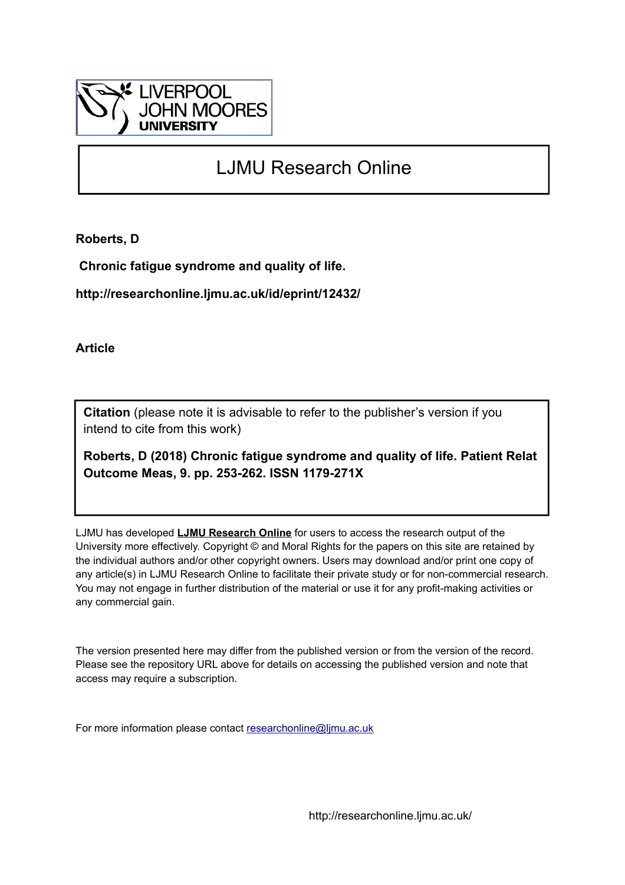

# LJMU Research Online

**Roberts, D**

 **Chronic fatigue syndrome and quality of life.**

**http://researchonline.ljmu.ac.uk/id/eprint/12432/**

**Article**

**Citation** (please note it is advisable to refer to the publisher's version if you intend to cite from this work)

**Roberts, D (2018) Chronic fatigue syndrome and quality of life. Patient Relat Outcome Meas, 9. pp. 253-262. ISSN 1179-271X** 

LJMU has developed **[LJMU Research Online](http://researchonline.ljmu.ac.uk/)** for users to access the research output of the University more effectively. Copyright © and Moral Rights for the papers on this site are retained by the individual authors and/or other copyright owners. Users may download and/or print one copy of any article(s) in LJMU Research Online to facilitate their private study or for non-commercial research. You may not engage in further distribution of the material or use it for any profit-making activities or any commercial gain.

The version presented here may differ from the published version or from the version of the record. Please see the repository URL above for details on accessing the published version and note that access may require a subscription.

For more information please contact [researchonline@ljmu.ac.uk](mailto:researchonline@ljmu.ac.uk)

http://researchonline.ljmu.ac.uk/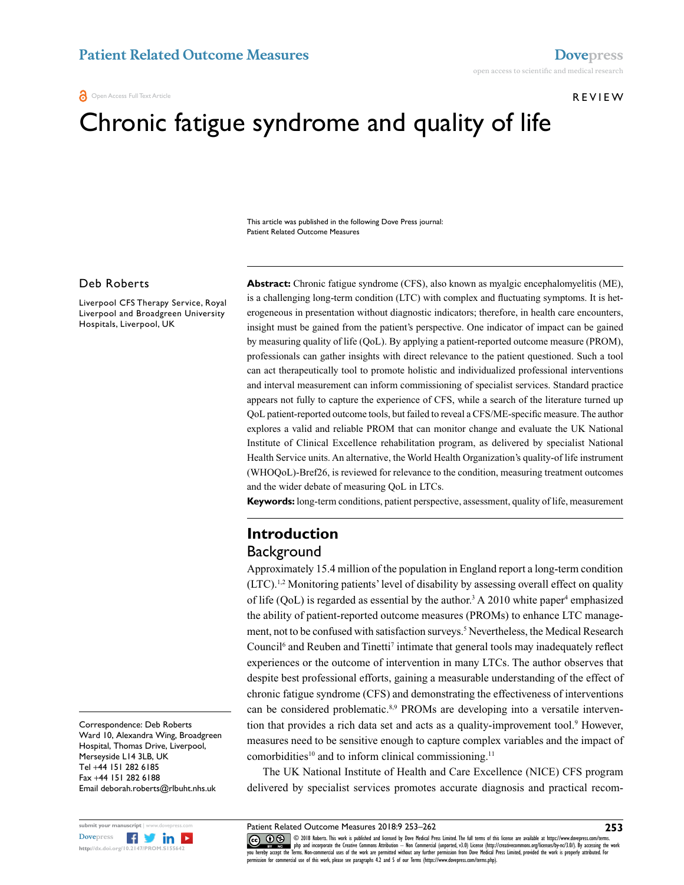#### **a** Open Access Full Text Article

#### REVIEW

# Chronic fatigue syndrome and quality of life

This article was published in the following Dove Press journal: Patient Related Outcome Measures

#### Deb Roberts

Liverpool CFS Therapy Service, Royal Liverpool and Broadgreen University Hospitals, Liverpool, UK

**Abstract:** Chronic fatigue syndrome (CFS), also known as myalgic encephalomyelitis (ME), is a challenging long-term condition (LTC) with complex and fluctuating symptoms. It is heterogeneous in presentation without diagnostic indicators; therefore, in health care encounters, insight must be gained from the patient's perspective. One indicator of impact can be gained by measuring quality of life (QoL). By applying a patient-reported outcome measure (PROM), professionals can gather insights with direct relevance to the patient questioned. Such a tool can act therapeutically tool to promote holistic and individualized professional interventions and interval measurement can inform commissioning of specialist services. Standard practice appears not fully to capture the experience of CFS, while a search of the literature turned up QoL patient-reported outcome tools, but failed to reveal a CFS/ME-specific measure. The author explores a valid and reliable PROM that can monitor change and evaluate the UK National Institute of Clinical Excellence rehabilitation program, as delivered by specialist National Health Service units. An alternative, the World Health Organization's quality-of life instrument (WHOQoL)-Bref26, is reviewed for relevance to the condition, measuring treatment outcomes and the wider debate of measuring QoL in LTCs.

**Keywords:** long-term conditions, patient perspective, assessment, quality of life, measurement

# **Introduction Background**

Approximately 15.4 million of the population in England report a long-term condition (LTC).1,2 Monitoring patients' level of disability by assessing overall effect on quality of life  $(QoL)$  is regarded as essential by the author.<sup>3</sup> A 2010 white paper<sup>4</sup> emphasized the ability of patient-reported outcome measures (PROMs) to enhance LTC management, not to be confused with satisfaction surveys.<sup>5</sup> Nevertheless, the Medical Research Council<sup>6</sup> and Reuben and Tinetti<sup>7</sup> intimate that general tools may inadequately reflect experiences or the outcome of intervention in many LTCs. The author observes that despite best professional efforts, gaining a measurable understanding of the effect of chronic fatigue syndrome (CFS) and demonstrating the effectiveness of interventions can be considered problematic.<sup>8,9</sup> PROMs are developing into a versatile intervention that provides a rich data set and acts as a quality-improvement tool.<sup>9</sup> However, measures need to be sensitive enough to capture complex variables and the impact of comorbidities<sup>10</sup> and to inform clinical commissioning.<sup>11</sup>

The UK National Institute of Health and Care Excellence (NICE) CFS program delivered by specialist services promotes accurate diagnosis and practical recom-

Correspondence: Deb Roberts Ward 10, Alexandra Wing, Broadgreen Hospital, Thomas Drive, Liverpool, Merseyside L14 3LB, UK Tel +44 151 282 6185 Fax +44 151 282 6188 Email deborah.roberts@rlbuht.nhs.uk



Patient Related Outcome Measures 2018:9 253–262

 $\boxed{\odot}$   $\odot$   $\otimes$  1018 Roberts. This work is published and licensed by Dove Medical Press Limited. The full terms of this license are available at https://www.dovepress.com/terms. www.com php and incorporate the Creative Commons Attribution — Non Commercial (unported, v3.0) License (http://creativecommons.org/licenses/by-nc/3.0/). By accessing the work<br>[you hereby accept the T](http://www.dovepress.com/permissions.php)erms. Non-commercial use permission for commercial use of this work, please see paragraphs 4.2 and 5 of our Terms (https://www.dovepress.com/terms.php).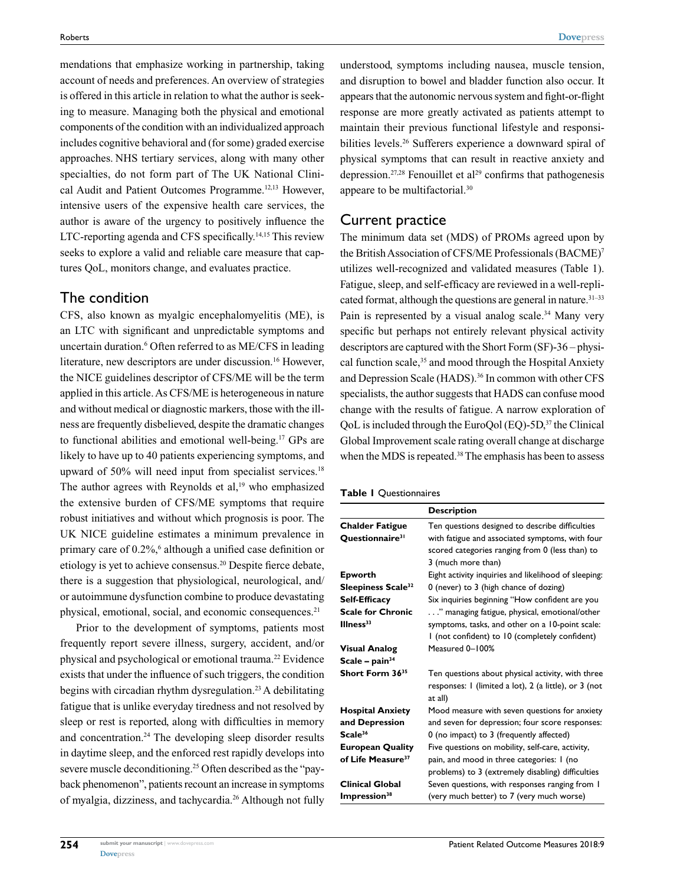mendations that emphasize working in partnership, taking account of needs and preferences. An overview of strategies is offered in this article in relation to what the author is seeking to measure. Managing both the physical and emotional components of the condition with an individualized approach includes cognitive behavioral and (for some) graded exercise approaches. NHS tertiary services, along with many other specialties, do not form part of The UK National Clinical Audit and Patient Outcomes Programme.12,13 However, intensive users of the expensive health care services, the author is aware of the urgency to positively influence the LTC-reporting agenda and CFS specifically.14,15 This review seeks to explore a valid and reliable care measure that captures QoL, monitors change, and evaluates practice.

#### The condition

CFS, also known as myalgic encephalomyelitis (ME), is an LTC with significant and unpredictable symptoms and uncertain duration.6 Often referred to as ME/CFS in leading literature, new descriptors are under discussion.<sup>16</sup> However, the NICE guidelines descriptor of CFS/ME will be the term applied in this article. As CFS/ME is heterogeneous in nature and without medical or diagnostic markers, those with the illness are frequently disbelieved, despite the dramatic changes to functional abilities and emotional well-being.17 GPs are likely to have up to 40 patients experiencing symptoms, and upward of  $50\%$  will need input from specialist services.<sup>18</sup> The author agrees with Reynolds et al, $19$  who emphasized the extensive burden of CFS/ME symptoms that require robust initiatives and without which prognosis is poor. The UK NICE guideline estimates a minimum prevalence in primary care of 0.2%,<sup>6</sup> although a unified case definition or etiology is yet to achieve consensus.20 Despite fierce debate, there is a suggestion that physiological, neurological, and/ or autoimmune dysfunction combine to produce devastating physical, emotional, social, and economic consequences.<sup>21</sup>

Prior to the development of symptoms, patients most frequently report severe illness, surgery, accident, and/or physical and psychological or emotional trauma.22 Evidence exists that under the influence of such triggers, the condition begins with circadian rhythm dysregulation.<sup>23</sup> A debilitating fatigue that is unlike everyday tiredness and not resolved by sleep or rest is reported, along with difficulties in memory and concentration.<sup>24</sup> The developing sleep disorder results in daytime sleep, and the enforced rest rapidly develops into severe muscle deconditioning.<sup>25</sup> Often described as the "payback phenomenon", patients recount an increase in symptoms of myalgia, dizziness, and tachycardia.26 Although not fully

understood, symptoms including nausea, muscle tension, and disruption to bowel and bladder function also occur. It appears that the autonomic nervous system and fight-or-flight response are more greatly activated as patients attempt to maintain their previous functional lifestyle and responsibilities levels.<sup>26</sup> Sufferers experience a downward spiral of physical symptoms that can result in reactive anxiety and depression.<sup>27,28</sup> Fenouillet et al<sup>29</sup> confirms that pathogenesis appeare to be multifactorial.30

#### Current practice

The minimum data set (MDS) of PROMs agreed upon by the British Association of CFS/ME Professionals (BACME)7 utilizes well-recognized and validated measures (Table 1). Fatigue, sleep, and self-efficacy are reviewed in a well-replicated format, although the questions are general in nature. $31-33$ Pain is represented by a visual analog scale.<sup>34</sup> Many very specific but perhaps not entirely relevant physical activity descriptors are captured with the Short Form (SF)-36 – physical function scale,<sup>35</sup> and mood through the Hospital Anxiety and Depression Scale (HADS).<sup>36</sup> In common with other CFS specialists, the author suggests that HADS can confuse mood change with the results of fatigue. A narrow exploration of QoL is included through the EuroQol (EQ)-5D,37 the Clinical Global Improvement scale rating overall change at discharge when the MDS is repeated.<sup>38</sup> The emphasis has been to assess

|  |  |  |  | Table I Questionnaires |
|--|--|--|--|------------------------|
|--|--|--|--|------------------------|

|                                | <b>Description</b>                                               |  |  |
|--------------------------------|------------------------------------------------------------------|--|--|
| <b>Chalder Fatigue</b>         | Ten questions designed to describe difficulties                  |  |  |
| Questionnaire <sup>31</sup>    | with fatigue and associated symptoms, with four                  |  |  |
|                                | scored categories ranging from 0 (less than) to                  |  |  |
|                                | 3 (much more than)                                               |  |  |
| <b>Epworth</b>                 | Eight activity inquiries and likelihood of sleeping:             |  |  |
| Sleepiness Scale <sup>32</sup> | 0 (never) to 3 (high chance of dozing)                           |  |  |
| <b>Self-Efficacy</b>           | Six inquiries beginning "How confident are you                   |  |  |
| <b>Scale for Chronic</b>       | " managing fatigue, physical, emotional/other                    |  |  |
| Ilness <sup>33</sup>           | symptoms, tasks, and other on a 10-point scale:                  |  |  |
|                                | I (not confident) to 10 (completely confident)                   |  |  |
| <b>Visual Analog</b>           | Measured 0-100%                                                  |  |  |
| Scale – $pain34$               |                                                                  |  |  |
| Short Form 36 <sup>35</sup>    | Ten questions about physical activity, with three                |  |  |
|                                | responses: I (limited a lot), 2 (a little), or 3 (not<br>at all) |  |  |
| <b>Hospital Anxiety</b>        | Mood measure with seven questions for anxiety                    |  |  |
| and Depression                 | and seven for depression; four score responses:                  |  |  |
| Scale <sup>36</sup>            | 0 (no impact) to 3 (frequently affected)                         |  |  |
| <b>European Quality</b>        | Five questions on mobility, self-care, activity,                 |  |  |
| of Life Measure <sup>37</sup>  | pain, and mood in three categories: I (no                        |  |  |
|                                | problems) to 3 (extremely disabling) difficulties                |  |  |
| <b>Clinical Global</b>         | Seven questions, with responses ranging from I                   |  |  |
| Impression <sup>38</sup>       | (very much better) to 7 (very much worse)                        |  |  |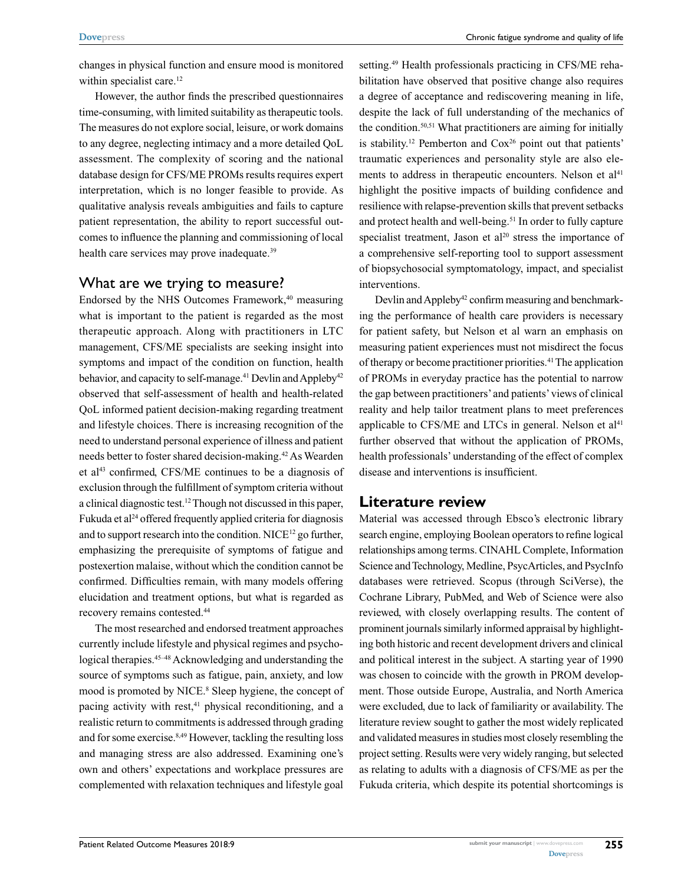changes in physical function and ensure mood is monitored within specialist care.<sup>12</sup>

However, the author finds the prescribed questionnaires time-consuming, with limited suitability as therapeutic tools. The measures do not explore social, leisure, or work domains to any degree, neglecting intimacy and a more detailed QoL assessment. The complexity of scoring and the national database design for CFS/ME PROMs results requires expert interpretation, which is no longer feasible to provide. As qualitative analysis reveals ambiguities and fails to capture patient representation, the ability to report successful outcomes to influence the planning and commissioning of local health care services may prove inadequate.<sup>39</sup>

## What are we trying to measure?

Endorsed by the NHS Outcomes Framework,<sup>40</sup> measuring what is important to the patient is regarded as the most therapeutic approach. Along with practitioners in LTC management, CFS/ME specialists are seeking insight into symptoms and impact of the condition on function, health behavior, and capacity to self-manage.<sup>41</sup> Devlin and Appleby<sup>42</sup> observed that self-assessment of health and health-related QoL informed patient decision-making regarding treatment and lifestyle choices. There is increasing recognition of the need to understand personal experience of illness and patient needs better to foster shared decision-making.42 As Wearden et al<sup>43</sup> confirmed, CFS/ME continues to be a diagnosis of exclusion through the fulfillment of symptom criteria without a clinical diagnostic test.12 Though not discussed in this paper, Fukuda et al<sup>24</sup> offered frequently applied criteria for diagnosis and to support research into the condition. NICE<sup>12</sup> go further, emphasizing the prerequisite of symptoms of fatigue and postexertion malaise, without which the condition cannot be confirmed. Difficulties remain, with many models offering elucidation and treatment options, but what is regarded as recovery remains contested.44

The most researched and endorsed treatment approaches currently include lifestyle and physical regimes and psychological therapies.<sup>45–48</sup> Acknowledging and understanding the source of symptoms such as fatigue, pain, anxiety, and low mood is promoted by NICE.<sup>8</sup> Sleep hygiene, the concept of pacing activity with rest,<sup>41</sup> physical reconditioning, and a realistic return to commitments is addressed through grading and for some exercise.<sup>8,49</sup> However, tackling the resulting loss and managing stress are also addressed. Examining one's own and others' expectations and workplace pressures are complemented with relaxation techniques and lifestyle goal

setting.<sup>49</sup> Health professionals practicing in CFS/ME rehabilitation have observed that positive change also requires a degree of acceptance and rediscovering meaning in life, despite the lack of full understanding of the mechanics of the condition.50,51 What practitioners are aiming for initially is stability.<sup>12</sup> Pemberton and  $Cox<sup>26</sup>$  point out that patients' traumatic experiences and personality style are also elements to address in therapeutic encounters. Nelson et  $al<sup>41</sup>$ highlight the positive impacts of building confidence and resilience with relapse-prevention skills that prevent setbacks and protect health and well-being.<sup>51</sup> In order to fully capture specialist treatment, Jason et  $al^{20}$  stress the importance of a comprehensive self-reporting tool to support assessment of biopsychosocial symptomatology, impact, and specialist interventions.

Devlin and Appleby<sup>42</sup> confirm measuring and benchmarking the performance of health care providers is necessary for patient safety, but Nelson et al warn an emphasis on measuring patient experiences must not misdirect the focus of therapy or become practitioner priorities.41 The application of PROMs in everyday practice has the potential to narrow the gap between practitioners' and patients' views of clinical reality and help tailor treatment plans to meet preferences applicable to CFS/ME and LTCs in general. Nelson et  $al<sup>41</sup>$ further observed that without the application of PROMs, health professionals' understanding of the effect of complex disease and interventions is insufficient.

## **Literature review**

Material was accessed through Ebsco's electronic library search engine, employing Boolean operators to refine logical relationships among terms. CINAHL Complete, Information Science and Technology, Medline, PsycArticles, and PsycInfo databases were retrieved. Scopus (through SciVerse), the Cochrane Library, PubMed, and Web of Science were also reviewed, with closely overlapping results. The content of prominent journals similarly informed appraisal by highlighting both historic and recent development drivers and clinical and political interest in the subject. A starting year of 1990 was chosen to coincide with the growth in PROM development. Those outside Europe, Australia, and North America were excluded, due to lack of familiarity or availability. The literature review sought to gather the most widely replicated and validated measures in studies most closely resembling the project setting. Results were very widely ranging, but selected as relating to adults with a diagnosis of CFS/ME as per the Fukuda criteria, which despite its potential shortcomings is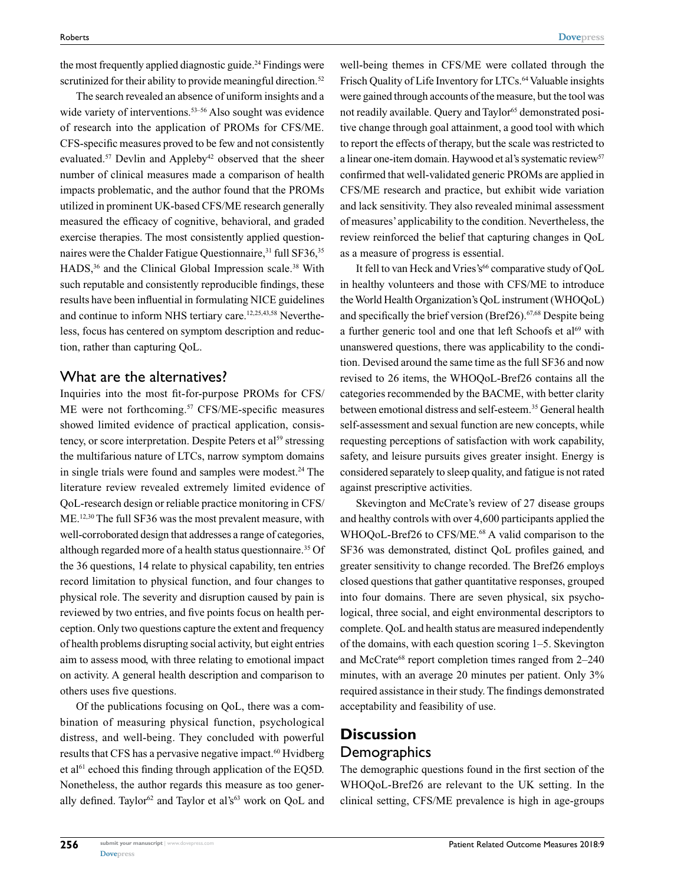the most frequently applied diagnostic guide.<sup>24</sup> Findings were scrutinized for their ability to provide meaningful direction.<sup>52</sup>

The search revealed an absence of uniform insights and a wide variety of interventions.<sup>53–56</sup> Also sought was evidence of research into the application of PROMs for CFS/ME. CFS-specific measures proved to be few and not consistently evaluated.<sup>57</sup> Devlin and Appleby<sup>42</sup> observed that the sheer number of clinical measures made a comparison of health impacts problematic, and the author found that the PROMs utilized in prominent UK-based CFS/ME research generally measured the efficacy of cognitive, behavioral, and graded exercise therapies. The most consistently applied questionnaires were the Chalder Fatigue Questionnaire,<sup>31</sup> full SF36,<sup>35</sup> HADS,<sup>36</sup> and the Clinical Global Impression scale.<sup>38</sup> With such reputable and consistently reproducible findings, these results have been influential in formulating NICE guidelines and continue to inform NHS tertiary care.<sup>12,25,43,58</sup> Nevertheless, focus has centered on symptom description and reduction, rather than capturing QoL.

## What are the alternatives?

Inquiries into the most fit-for-purpose PROMs for CFS/ ME were not forthcoming.<sup>57</sup> CFS/ME-specific measures showed limited evidence of practical application, consistency, or score interpretation. Despite Peters et al<sup>59</sup> stressing the multifarious nature of LTCs, narrow symptom domains in single trials were found and samples were modest.<sup>24</sup> The literature review revealed extremely limited evidence of QoL-research design or reliable practice monitoring in CFS/ ME.<sup>12,30</sup> The full SF36 was the most prevalent measure, with well-corroborated design that addresses a range of categories, although regarded more of a health status questionnaire.<sup>35</sup> Of the 36 questions, 14 relate to physical capability, ten entries record limitation to physical function, and four changes to physical role. The severity and disruption caused by pain is reviewed by two entries, and five points focus on health perception. Only two questions capture the extent and frequency of health problems disrupting social activity, but eight entries aim to assess mood, with three relating to emotional impact on activity. A general health description and comparison to others uses five questions.

Of the publications focusing on QoL, there was a combination of measuring physical function, psychological distress, and well-being. They concluded with powerful results that CFS has a pervasive negative impact.<sup>60</sup> Hvidberg et al<sup>61</sup> echoed this finding through application of the EQ5D. Nonetheless, the author regards this measure as too generally defined. Taylor<sup>62</sup> and Taylor et al's<sup>63</sup> work on QoL and

well-being themes in CFS/ME were collated through the Frisch Quality of Life Inventory for LTCs.<sup>64</sup> Valuable insights were gained through accounts of the measure, but the tool was not readily available. Ouery and Taylor<sup>65</sup> demonstrated positive change through goal attainment, a good tool with which to report the effects of therapy, but the scale was restricted to a linear one-item domain. Haywood et al's systematic review<sup>57</sup> confirmed that well-validated generic PROMs are applied in CFS/ME research and practice, but exhibit wide variation and lack sensitivity. They also revealed minimal assessment of measures' applicability to the condition. Nevertheless, the review reinforced the belief that capturing changes in QoL as a measure of progress is essential.

It fell to van Heck and Vries's<sup>66</sup> comparative study of QoL in healthy volunteers and those with CFS/ME to introduce the World Health Organization's QoL instrument (WHOQoL) and specifically the brief version (Bref $26$ ).<sup>67,68</sup> Despite being a further generic tool and one that left Schoofs et al<sup>69</sup> with unanswered questions, there was applicability to the condition. Devised around the same time as the full SF36 and now revised to 26 items, the WHOQoL-Bref26 contains all the categories recommended by the BACME, with better clarity between emotional distress and self-esteem.35 General health self-assessment and sexual function are new concepts, while requesting perceptions of satisfaction with work capability, safety, and leisure pursuits gives greater insight. Energy is considered separately to sleep quality, and fatigue is not rated against prescriptive activities.

Skevington and McCrate's review of 27 disease groups and healthy controls with over 4,600 participants applied the WHOQoL-Bref26 to CFS/ME.<sup>68</sup> A valid comparison to the SF36 was demonstrated, distinct QoL profiles gained, and greater sensitivity to change recorded. The Bref26 employs closed questions that gather quantitative responses, grouped into four domains. There are seven physical, six psychological, three social, and eight environmental descriptors to complete. QoL and health status are measured independently of the domains, with each question scoring 1–5. Skevington and McCrate<sup>68</sup> report completion times ranged from 2–240 minutes, with an average 20 minutes per patient. Only 3% required assistance in their study. The findings demonstrated acceptability and feasibility of use.

## **Discussion Demographics**

The demographic questions found in the first section of the WHOQoL-Bref26 are relevant to the UK setting. In the clinical setting, CFS/ME prevalence is high in age-groups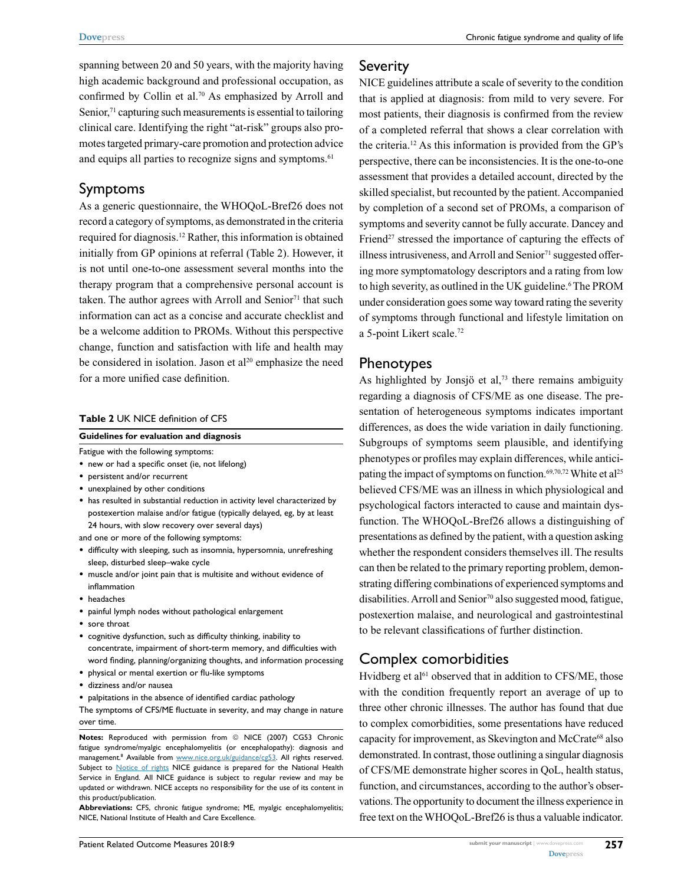spanning between 20 and 50 years, with the majority having high academic background and professional occupation, as confirmed by Collin et al.<sup>70</sup> As emphasized by Arroll and Senior, $71$  capturing such measurements is essential to tailoring clinical care. Identifying the right "at-risk" groups also promotes targeted primary-care promotion and protection advice and equips all parties to recognize signs and symptoms.<sup>61</sup>

## Symptoms

As a generic questionnaire, the WHOQoL-Bref26 does not record a category of symptoms, as demonstrated in the criteria required for diagnosis.12 Rather, this information is obtained initially from GP opinions at referral (Table 2). However, it is not until one-to-one assessment several months into the therapy program that a comprehensive personal account is taken. The author agrees with Arroll and Senior<sup>71</sup> that such information can act as a concise and accurate checklist and be a welcome addition to PROMs. Without this perspective change, function and satisfaction with life and health may be considered in isolation. Jason et  $al^{20}$  emphasize the need for a more unified case definition.

#### **Table 2** UK NICE definition of CFS

#### **Guidelines for evaluation and diagnosis**

Fatigue with the following symptoms:

- new or had a specific onset (ie, not lifelong)
- persistent and/or recurrent
- unexplained by other conditions
- has resulted in substantial reduction in activity level characterized by postexertion malaise and/or fatigue (typically delayed, eg, by at least 24 hours, with slow recovery over several days)

and one or more of the following symptoms:

- • difficulty with sleeping, such as insomnia, hypersomnia, unrefreshing sleep, disturbed sleep–wake cycle
- muscle and/or joint pain that is multisite and without evidence of inflammation
- • headaches
- • painful lymph nodes without pathological enlargement
- • sore throat
- cognitive dysfunction, such as difficulty thinking, inability to concentrate, impairment of short-term memory, and difficulties with word finding, planning/organizing thoughts, and information processing • physical or mental exertion or flu-like symptoms
- • dizziness and/or nausea
- palpitations in the absence of identified cardiac pathology

The symptoms of CFS/ME fluctuate in severity, and may change in nature over time.

**Notes:** Reproduced with permission from © NICE (2007) CG53 Chronic fatigue syndrome/myalgic encephalomyelitis (or encephalopathy): diagnosis and management.<sup>8</sup> Available from <www.nice.org.uk/guidance/cg53>. All rights reserved. Subject to **[Notice of rights](https://www.nice.org.uk/terms-and-conditions#notice-of-rights)** NICE guidance is prepared for the National Health Service in England. All NICE guidance is subject to regular review and may be updated or withdrawn. NICE accepts no responsibility for the use of its content in this product/publication.

**Abbreviations:** CFS, chronic fatigue syndrome; ME, myalgic encephalomyelitis; NICE, National Institute of Health and Care Excellence.

#### **Severity**

NICE guidelines attribute a scale of severity to the condition that is applied at diagnosis: from mild to very severe. For most patients, their diagnosis is confirmed from the review of a completed referral that shows a clear correlation with the criteria.12 As this information is provided from the GP's perspective, there can be inconsistencies. It is the one-to-one assessment that provides a detailed account, directed by the skilled specialist, but recounted by the patient. Accompanied by completion of a second set of PROMs, a comparison of symptoms and severity cannot be fully accurate. Dancey and Friend<sup>27</sup> stressed the importance of capturing the effects of illness intrusiveness, and Arroll and Senior $71$  suggested offering more symptomatology descriptors and a rating from low to high severity, as outlined in the UK guideline.<sup>6</sup> The PROM under consideration goes some way toward rating the severity of symptoms through functional and lifestyle limitation on a 5-point Likert scale.72

## Phenotypes

As highlighted by Jonsjö et al, $73$  there remains ambiguity regarding a diagnosis of CFS/ME as one disease. The presentation of heterogeneous symptoms indicates important differences, as does the wide variation in daily functioning. Subgroups of symptoms seem plausible, and identifying phenotypes or profiles may explain differences, while anticipating the impact of symptoms on function.<sup>69,70,72</sup> White et al<sup>25</sup> believed CFS/ME was an illness in which physiological and psychological factors interacted to cause and maintain dysfunction. The WHOQoL-Bref26 allows a distinguishing of presentations as defined by the patient, with a question asking whether the respondent considers themselves ill. The results can then be related to the primary reporting problem, demonstrating differing combinations of experienced symptoms and disabilities. Arroll and Senior<sup>70</sup> also suggested mood, fatigue, postexertion malaise, and neurological and gastrointestinal to be relevant classifications of further distinction.

# Complex comorbidities

Hvidberg et al<sup>61</sup> observed that in addition to CFS/ME, those with the condition frequently report an average of up to three other chronic illnesses. The author has found that due to complex comorbidities, some presentations have reduced capacity for improvement, as Skevington and McCrate<sup>68</sup> also demonstrated. In contrast, those outlining a singular diagnosis of CFS/ME demonstrate higher scores in QoL, health status, function, and circumstances, according to the author's observations. The opportunity to document the illness experience in free text on the WHOQoL-Bref26 is thus a valuable indicator.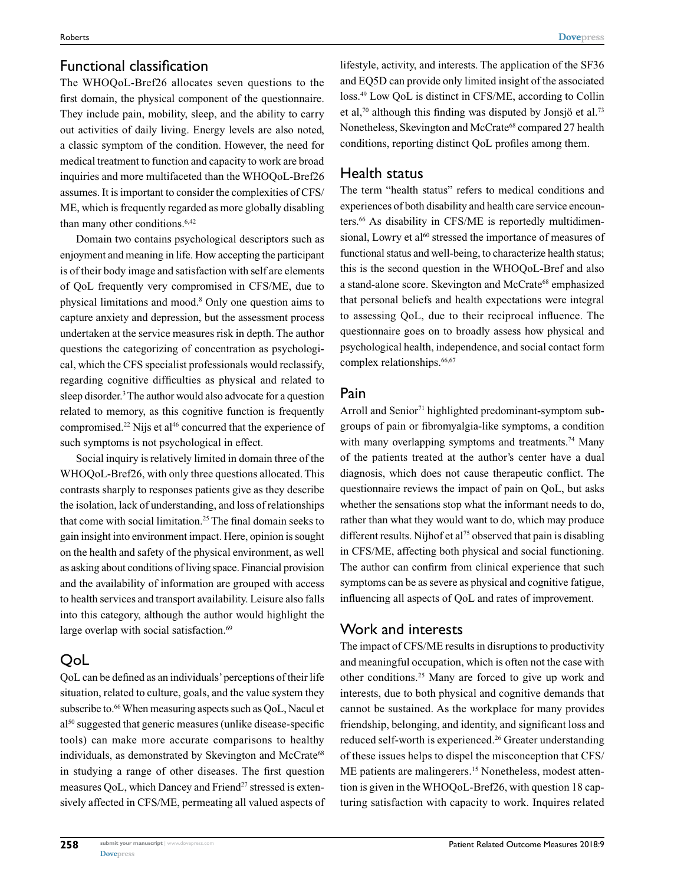# Functional classification

The WHOQoL-Bref26 allocates seven questions to the first domain, the physical component of the questionnaire. They include pain, mobility, sleep, and the ability to carry out activities of daily living. Energy levels are also noted, a classic symptom of the condition. However, the need for medical treatment to function and capacity to work are broad inquiries and more multifaceted than the WHOQoL-Bref26 assumes. It is important to consider the complexities of CFS/ ME, which is frequently regarded as more globally disabling than many other conditions.<sup>6,42</sup>

Domain two contains psychological descriptors such as enjoyment and meaning in life. How accepting the participant is of their body image and satisfaction with self are elements of QoL frequently very compromised in CFS/ME, due to physical limitations and mood.8 Only one question aims to capture anxiety and depression, but the assessment process undertaken at the service measures risk in depth. The author questions the categorizing of concentration as psychological, which the CFS specialist professionals would reclassify, regarding cognitive difficulties as physical and related to sleep disorder.<sup>3</sup> The author would also advocate for a question related to memory, as this cognitive function is frequently compromised.<sup>22</sup> Nijs et al<sup>46</sup> concurred that the experience of such symptoms is not psychological in effect.

Social inquiry is relatively limited in domain three of the WHOQoL-Bref26, with only three questions allocated. This contrasts sharply to responses patients give as they describe the isolation, lack of understanding, and loss of relationships that come with social limitation.25 The final domain seeks to gain insight into environment impact. Here, opinion is sought on the health and safety of the physical environment, as well as asking about conditions of living space. Financial provision and the availability of information are grouped with access to health services and transport availability. Leisure also falls into this category, although the author would highlight the large overlap with social satisfaction.<sup>69</sup>

# QoL

QoL can be defined as an individuals' perceptions of their life situation, related to culture, goals, and the value system they subscribe to.<sup>66</sup> When measuring aspects such as QoL, Nacul et al<sup>50</sup> suggested that generic measures (unlike disease-specific tools) can make more accurate comparisons to healthy individuals, as demonstrated by Skevington and McCrate<sup>68</sup> in studying a range of other diseases. The first question measures QoL, which Dancey and Friend<sup>27</sup> stressed is extensively affected in CFS/ME, permeating all valued aspects of

lifestyle, activity, and interests. The application of the SF36 and EQ5D can provide only limited insight of the associated loss.49 Low QoL is distinct in CFS/ME, according to Collin et al,<sup>70</sup> although this finding was disputed by Jonsjö et al.<sup>73</sup> Nonetheless, Skevington and McCrate<sup>68</sup> compared 27 health conditions, reporting distinct QoL profiles among them.

# Health status

The term "health status" refers to medical conditions and experiences of both disability and health care service encounters.<sup>66</sup> As disability in CFS/ME is reportedly multidimensional, Lowry et al<sup>60</sup> stressed the importance of measures of functional status and well-being, to characterize health status; this is the second question in the WHOQoL-Bref and also a stand-alone score. Skevington and McCrate<sup>68</sup> emphasized that personal beliefs and health expectations were integral to assessing QoL, due to their reciprocal influence. The questionnaire goes on to broadly assess how physical and psychological health, independence, and social contact form complex relationships.<sup>66,67</sup>

## Pain

Arroll and Senior<sup>71</sup> highlighted predominant-symptom subgroups of pain or fibromyalgia-like symptoms, a condition with many overlapping symptoms and treatments.<sup>74</sup> Many of the patients treated at the author's center have a dual diagnosis, which does not cause therapeutic conflict. The questionnaire reviews the impact of pain on QoL, but asks whether the sensations stop what the informant needs to do, rather than what they would want to do, which may produce different results. Nijhof et al<sup>75</sup> observed that pain is disabling in CFS/ME, affecting both physical and social functioning. The author can confirm from clinical experience that such symptoms can be as severe as physical and cognitive fatigue, influencing all aspects of QoL and rates of improvement.

## Work and interests

The impact of CFS/ME results in disruptions to productivity and meaningful occupation, which is often not the case with other conditions.25 Many are forced to give up work and interests, due to both physical and cognitive demands that cannot be sustained. As the workplace for many provides friendship, belonging, and identity, and significant loss and reduced self-worth is experienced.<sup>26</sup> Greater understanding of these issues helps to dispel the misconception that CFS/ ME patients are malingerers.<sup>15</sup> Nonetheless, modest attention is given in the WHOQoL-Bref26, with question 18 capturing satisfaction with capacity to work. Inquires related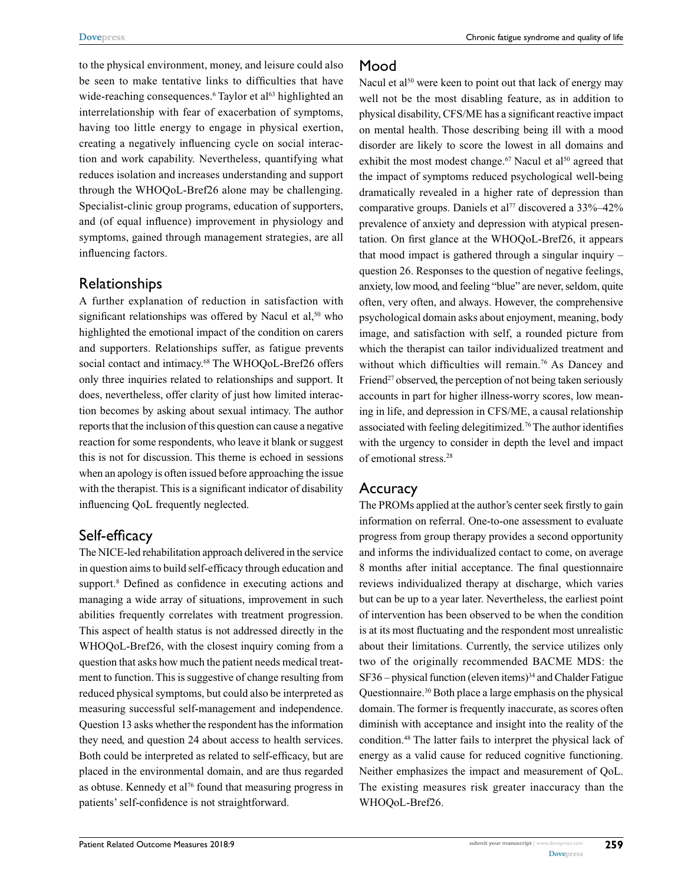to the physical environment, money, and leisure could also be seen to make tentative links to difficulties that have wide-reaching consequences.<sup>6</sup> Taylor et al<sup>63</sup> highlighted an interrelationship with fear of exacerbation of symptoms, having too little energy to engage in physical exertion, creating a negatively influencing cycle on social interaction and work capability. Nevertheless, quantifying what reduces isolation and increases understanding and support through the WHOQoL-Bref26 alone may be challenging. Specialist-clinic group programs, education of supporters, and (of equal influence) improvement in physiology and symptoms, gained through management strategies, are all influencing factors.

# Relationships

A further explanation of reduction in satisfaction with significant relationships was offered by Nacul et  $al$ <sup>50</sup>, who highlighted the emotional impact of the condition on carers and supporters. Relationships suffer, as fatigue prevents social contact and intimacy.<sup>68</sup> The WHOQoL-Bref26 offers only three inquiries related to relationships and support. It does, nevertheless, offer clarity of just how limited interaction becomes by asking about sexual intimacy. The author reports that the inclusion of this question can cause a negative reaction for some respondents, who leave it blank or suggest this is not for discussion. This theme is echoed in sessions when an apology is often issued before approaching the issue with the therapist. This is a significant indicator of disability influencing QoL frequently neglected.

# Self-efficacy

The NICE-led rehabilitation approach delivered in the service in question aims to build self-efficacy through education and support.<sup>8</sup> Defined as confidence in executing actions and managing a wide array of situations, improvement in such abilities frequently correlates with treatment progression. This aspect of health status is not addressed directly in the WHOQoL-Bref26, with the closest inquiry coming from a question that asks how much the patient needs medical treatment to function. This is suggestive of change resulting from reduced physical symptoms, but could also be interpreted as measuring successful self-management and independence. Question 13 asks whether the respondent has the information they need, and question 24 about access to health services. Both could be interpreted as related to self-efficacy, but are placed in the environmental domain, and are thus regarded as obtuse. Kennedy et al<sup>76</sup> found that measuring progress in patients' self-confidence is not straightforward.

# Mood

Nacul et  $a^{150}$  were keen to point out that lack of energy may well not be the most disabling feature, as in addition to physical disability, CFS/ME has a significant reactive impact on mental health. Those describing being ill with a mood disorder are likely to score the lowest in all domains and exhibit the most modest change.<sup>67</sup> Nacul et al<sup>50</sup> agreed that the impact of symptoms reduced psychological well-being dramatically revealed in a higher rate of depression than comparative groups. Daniels et al<sup>77</sup> discovered a 33%–42% prevalence of anxiety and depression with atypical presentation. On first glance at the WHOQoL-Bref26, it appears that mood impact is gathered through a singular inquiry – question 26. Responses to the question of negative feelings, anxiety, low mood, and feeling "blue" are never, seldom, quite often, very often, and always. However, the comprehensive psychological domain asks about enjoyment, meaning, body image, and satisfaction with self, a rounded picture from which the therapist can tailor individualized treatment and without which difficulties will remain.<sup>76</sup> As Dancey and Friend<sup>27</sup> observed, the perception of not being taken seriously accounts in part for higher illness-worry scores, low meaning in life, and depression in CFS/ME, a causal relationship associated with feeling delegitimized.76 The author identifies with the urgency to consider in depth the level and impact of emotional stress.28

# Accuracy

The PROMs applied at the author's center seek firstly to gain information on referral. One-to-one assessment to evaluate progress from group therapy provides a second opportunity and informs the individualized contact to come, on average 8 months after initial acceptance. The final questionnaire reviews individualized therapy at discharge, which varies but can be up to a year later. Nevertheless, the earliest point of intervention has been observed to be when the condition is at its most fluctuating and the respondent most unrealistic about their limitations. Currently, the service utilizes only two of the originally recommended BACME MDS: the  $SF36$  – physical function (eleven items)<sup>34</sup> and Chalder Fatigue Questionnaire.30 Both place a large emphasis on the physical domain. The former is frequently inaccurate, as scores often diminish with acceptance and insight into the reality of the condition.48 The latter fails to interpret the physical lack of energy as a valid cause for reduced cognitive functioning. Neither emphasizes the impact and measurement of QoL. The existing measures risk greater inaccuracy than the WHOQoL-Bref26.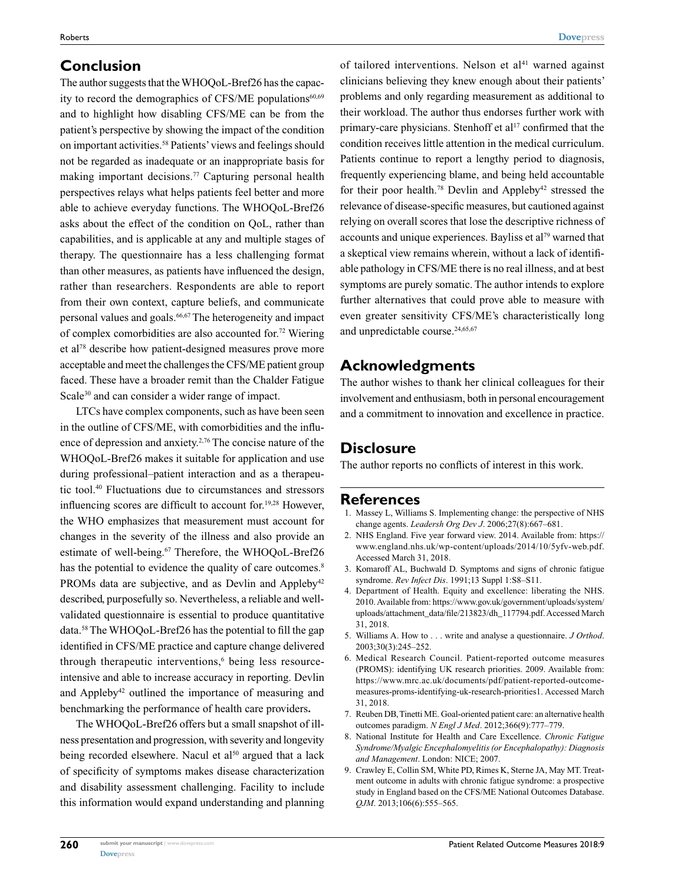# **Conclusion**

The author suggests that the WHOQoL-Bref26 has the capacity to record the demographics of CFS/ME populations<sup>60,69</sup> and to highlight how disabling CFS/ME can be from the patient's perspective by showing the impact of the condition on important activities.58 Patients' views and feelings should not be regarded as inadequate or an inappropriate basis for making important decisions.<sup>77</sup> Capturing personal health perspectives relays what helps patients feel better and more able to achieve everyday functions. The WHOQoL-Bref26 asks about the effect of the condition on QoL, rather than capabilities, and is applicable at any and multiple stages of therapy. The questionnaire has a less challenging format than other measures, as patients have influenced the design, rather than researchers. Respondents are able to report from their own context, capture beliefs, and communicate personal values and goals.<sup>66,67</sup> The heterogeneity and impact of complex comorbidities are also accounted for.72 Wiering et al78 describe how patient-designed measures prove more acceptable and meet the challenges the CFS/ME patient group faced. These have a broader remit than the Chalder Fatigue Scale<sup>30</sup> and can consider a wider range of impact.

LTCs have complex components, such as have been seen in the outline of CFS/ME, with comorbidities and the influence of depression and anxiety.2,76 The concise nature of the WHOQoL-Bref26 makes it suitable for application and use during professional–patient interaction and as a therapeutic tool.40 Fluctuations due to circumstances and stressors influencing scores are difficult to account for.<sup>19,28</sup> However, the WHO emphasizes that measurement must account for changes in the severity of the illness and also provide an estimate of well-being.<sup>67</sup> Therefore, the WHOQoL-Bref26 has the potential to evidence the quality of care outcomes.<sup>8</sup> PROMs data are subjective, and as Devlin and Appleby<sup>42</sup> described, purposefully so. Nevertheless, a reliable and wellvalidated questionnaire is essential to produce quantitative data.58 The WHOQoL-Bref26 has the potential to fill the gap identified in CFS/ME practice and capture change delivered through therapeutic interventions,<sup>6</sup> being less resourceintensive and able to increase accuracy in reporting. Devlin and Appleby<sup>42</sup> outlined the importance of measuring and benchmarking the performance of health care providers**.**

The WHOQoL-Bref26 offers but a small snapshot of illness presentation and progression, with severity and longevity being recorded elsewhere. Nacul et al<sup>50</sup> argued that a lack of specificity of symptoms makes disease characterization and disability assessment challenging. Facility to include this information would expand understanding and planning of tailored interventions. Nelson et  $a^{141}$  warned against clinicians believing they knew enough about their patients' problems and only regarding measurement as additional to their workload. The author thus endorses further work with primary-care physicians. Stenhoff et al<sup>17</sup> confirmed that the condition receives little attention in the medical curriculum. Patients continue to report a lengthy period to diagnosis, frequently experiencing blame, and being held accountable for their poor health.<sup>78</sup> Devlin and Appleby<sup>42</sup> stressed the relevance of disease-specific measures, but cautioned against relying on overall scores that lose the descriptive richness of accounts and unique experiences. Bayliss et al<sup>79</sup> warned that a skeptical view remains wherein, without a lack of identifiable pathology in CFS/ME there is no real illness, and at best symptoms are purely somatic. The author intends to explore further alternatives that could prove able to measure with even greater sensitivity CFS/ME's characteristically long and unpredictable course.<sup>24,65,67</sup>

# **Acknowledgments**

The author wishes to thank her clinical colleagues for their involvement and enthusiasm, both in personal encouragement and a commitment to innovation and excellence in practice.

# **Disclosure**

The author reports no conflicts of interest in this work.

## **References**

- 1. Massey L, Williams S. Implementing change: the perspective of NHS change agents. *Leadersh Org Dev J*. 2006;27(8):667–681.
- 2. NHS England. Five year forward view. 2014. Available from: https:// www.england.nhs.uk/wp-content/uploads/2014/10/5yfv-web.pdf. Accessed March 31, 2018.
- 3. Komaroff AL, Buchwald D. Symptoms and signs of chronic fatigue syndrome. *Rev Infect Dis*. 1991;13 Suppl 1:S8–S11.
- 4. Department of Health. Equity and excellence: liberating the NHS. 2010. Available from: https://www.gov.uk/government/uploads/system/ uploads/attachment\_data/file/213823/dh\_117794.pdf. Accessed March 31, 2018.
- 5. Williams A. How to . . . write and analyse a questionnaire. *J Orthod*. 2003;30(3):245–252.
- 6. Medical Research Council. Patient-reported outcome measures (PROMS): identifying UK research priorities. 2009. Available from: https://www.mrc.ac.uk/documents/pdf/patient-reported-outcomemeasures-proms-identifying-uk-research-priorities1. Accessed March 31, 2018.
- 7. Reuben DB, Tinetti ME. Goal-oriented patient care: an alternative health outcomes paradigm. *N Engl J Med*. 2012;366(9):777–779.
- 8. National Institute for Health and Care Excellence. *Chronic Fatigue Syndrome/Myalgic Encephalomyelitis (or Encephalopathy): Diagnosis and Management*. London: NICE; 2007.
- 9. Crawley E, Collin SM, White PD, Rimes K, Sterne JA, May MT. Treatment outcome in adults with chronic fatigue syndrome: a prospective study in England based on the CFS/ME National Outcomes Database. *QJM*. 2013;106(6):555–565.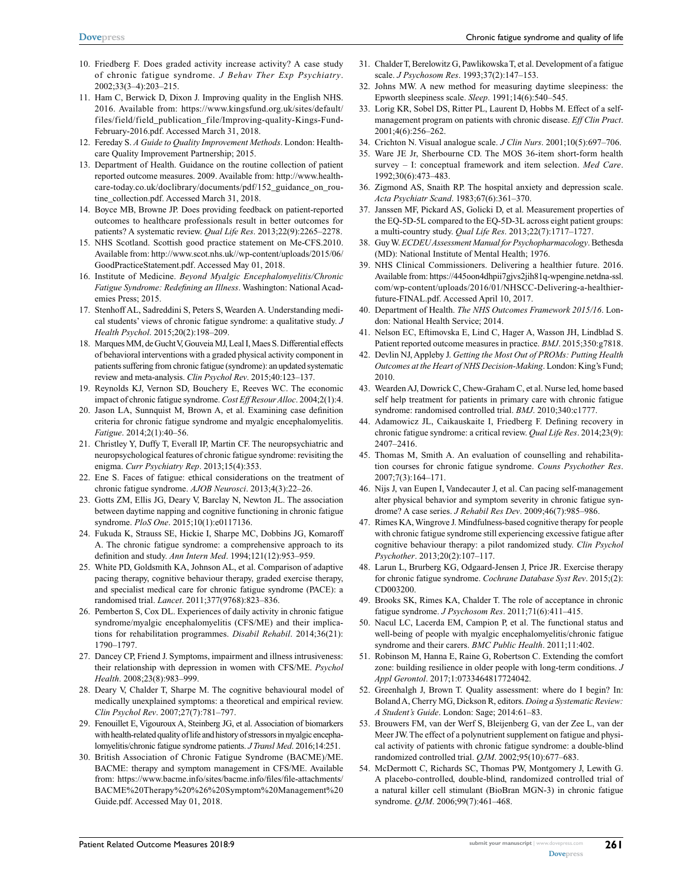- 10. Friedberg F. Does graded activity increase activity? A case study of chronic fatigue syndrome. *J Behav Ther Exp Psychiatry*. 2002;33(3–4):203–215.
- 11. Ham C, Berwick D, Dixon J. Improving quality in the English NHS. 2016. Available from: https://www.kingsfund.org.uk/sites/default/ files/field/field\_publication\_file/Improving-quality-Kings-Fund-February-2016.pdf. Accessed March 31, 2018.
- 12. Fereday S. *A Guide to Quality Improvement Methods*. London: Healthcare Quality Improvement Partnership; 2015.
- 13. Department of Health. Guidance on the routine collection of patient reported outcome measures. 2009. Available from: http://www.healthcare-today.co.uk/doclibrary/documents/pdf/152\_guidance\_on\_routine\_collection.pdf. Accessed March 31, 2018.
- 14. Boyce MB, Browne JP. Does providing feedback on patient-reported outcomes to healthcare professionals result in better outcomes for patients? A systematic review. *Qual Life Res*. 2013;22(9):2265–2278.
- 15. NHS Scotland. Scottish good practice statement on Me-CFS.2010. Available from: http://www.scot.nhs.uk//wp-content/uploads/2015/06/ GoodPracticeStatement.pdf. Accessed May 01, 2018.
- 16. Institute of Medicine. *Beyond Myalgic Encephalomyelitis/Chronic Fatigue Syndrome: Redefining an Illness*. Washington: National Academies Press; 2015.
- 17. Stenhoff AL, Sadreddini S, Peters S, Wearden A. Understanding medical students' views of chronic fatigue syndrome: a qualitative study. *J Health Psychol*. 2015;20(2):198–209.
- 18. Marques MM, de Gucht V, Gouveia MJ, Leal I, Maes S. Differential effects of behavioral interventions with a graded physical activity component in patients suffering from chronic fatigue (syndrome): an updated systematic review and meta-analysis. *Clin Psychol Rev*. 2015;40:123–137.
- 19. Reynolds KJ, Vernon SD, Bouchery E, Reeves WC. The economic impact of chronic fatigue syndrome. *Cost Eff Resour Alloc*. 2004;2(1):4.
- 20. Jason LA, Sunnquist M, Brown A, et al. Examining case definition criteria for chronic fatigue syndrome and myalgic encephalomyelitis. *Fatigue*. 2014;2(1):40–56.
- 21. Christley Y, Duffy T, Everall IP, Martin CF. The neuropsychiatric and neuropsychological features of chronic fatigue syndrome: revisiting the enigma. *Curr Psychiatry Rep*. 2013;15(4):353.
- 22. Ene S. Faces of fatigue: ethical considerations on the treatment of chronic fatigue syndrome. *AJOB Neurosci*. 2013;4(3):22–26.
- 23. Gotts ZM, Ellis JG, Deary V, Barclay N, Newton JL. The association between daytime napping and cognitive functioning in chronic fatigue syndrome. *PloS One*. 2015;10(1):e0117136.
- 24. Fukuda K, Strauss SE, Hickie I, Sharpe MC, Dobbins JG, Komaroff A. The chronic fatigue syndrome: a comprehensive approach to its definition and study. *Ann Intern Med*. 1994;121(12):953–959.
- 25. White PD, Goldsmith KA, Johnson AL, et al. Comparison of adaptive pacing therapy, cognitive behaviour therapy, graded exercise therapy, and specialist medical care for chronic fatigue syndrome (PACE): a randomised trial. *Lancet*. 2011;377(9768):823–836.
- 26. Pemberton S, Cox DL. Experiences of daily activity in chronic fatigue syndrome/myalgic encephalomyelitis (CFS/ME) and their implications for rehabilitation programmes. *Disabil Rehabil*. 2014;36(21): 1790–1797.
- 27. Dancey CP, Friend J. Symptoms, impairment and illness intrusiveness: their relationship with depression in women with CFS/ME. *Psychol Health*. 2008;23(8):983–999.
- 28. Deary V, Chalder T, Sharpe M. The cognitive behavioural model of medically unexplained symptoms: a theoretical and empirical review. *Clin Psychol Rev*. 2007;27(7):781–797.
- 29. Fenouillet E, Vigouroux A, Steinberg JG, et al. Association of biomarkers with health-related quality of life and history of stressors in myalgic encephalomyelitis/chronic fatigue syndrome patients. *J Transl Med*. 2016;14:251.
- 30. British Association of Chronic Fatigue Syndrome (BACME)/ME. BACME: therapy and symptom management in CFS/ME. Available from: https://www.bacme.info/sites/bacme.info/files/file-attachments/ BACME%20Therapy%20%26%20Symptom%20Management%20 Guide.pdf. Accessed May 01, 2018.
- 31. Chalder T, Berelowitz G, Pawlikowska T, et al. Development of a fatigue scale. *J Psychosom Res*. 1993;37(2):147–153.
- 32. Johns MW. A new method for measuring daytime sleepiness: the Epworth sleepiness scale. *Sleep*. 1991;14(6):540–545.
- 33. Lorig KR, Sobel DS, Ritter PL, Laurent D, Hobbs M. Effect of a selfmanagement program on patients with chronic disease. *Eff Clin Pract*. 2001;4(6):256–262.
- 34. Crichton N. Visual analogue scale. *J Clin Nurs*. 2001;10(5):697–706.
- 35. Ware JE Jr, Sherbourne CD. The MOS 36-item short-form health survey – I: conceptual framework and item selection. *Med Care*. 1992;30(6):473–483.
- 36. Zigmond AS, Snaith RP. The hospital anxiety and depression scale. *Acta Psychiatr Scand*. 1983;67(6):361–370.
- 37. Janssen MF, Pickard AS, Golicki D, et al. Measurement properties of the EQ-5D-5L compared to the EQ-5D-3L across eight patient groups: a multi-country study. *Qual Life Res*. 2013;22(7):1717–1727.
- 38. Guy W. *ECDEU Assessment Manual for Psychopharmacology*. Bethesda (MD): National Institute of Mental Health; 1976.
- 39. NHS Clinical Commissioners. Delivering a healthier future. 2016. Available from: https://445oon4dhpii7gjvs2jih81q-wpengine.netdna-ssl. com/wp-content/uploads/2016/01/NHSCC-Delivering-a-healthierfuture-FINAL.pdf. Accessed April 10, 2017.
- 40. Department of Health. *The NHS Outcomes Framework 2015/16*. London: National Health Service; 2014.
- 41. Nelson EC, Eftimovska E, Lind C, Hager A, Wasson JH, Lindblad S. Patient reported outcome measures in practice. *BMJ*. 2015;350:g7818.
- 42. Devlin NJ, Appleby J. *Getting the Most Out of PROMs: Putting Health Outcomes at the Heart of NHS Decision-Making*. London: King's Fund; 2010.
- 43. Wearden AJ, Dowrick C, Chew-Graham C, et al. Nurse led, home based self help treatment for patients in primary care with chronic fatigue syndrome: randomised controlled trial. *BMJ*. 2010;340:c1777.
- 44. Adamowicz JL, Caikauskaite I, Friedberg F. Defining recovery in chronic fatigue syndrome: a critical review. *Qual Life Res*. 2014;23(9): 2407–2416.
- 45. Thomas M, Smith A. An evaluation of counselling and rehabilitation courses for chronic fatigue syndrome. *Couns Psychother Res*. 2007;7(3):164–171.
- 46. Nijs J, van Eupen I, Vandecauter J, et al. Can pacing self-management alter physical behavior and symptom severity in chronic fatigue syndrome? A case series. *J Rehabil Res Dev*. 2009;46(7):985–986.
- 47. Rimes KA, Wingrove J. Mindfulness-based cognitive therapy for people with chronic fatigue syndrome still experiencing excessive fatigue after cognitive behaviour therapy: a pilot randomized study. *Clin Psychol Psychother*. 2013;20(2):107–117.
- 48. Larun L, Brurberg KG, Odgaard-Jensen J, Price JR. Exercise therapy for chronic fatigue syndrome. *Cochrane Database Syst Rev*. 2015;(2): CD003200.
- 49. Brooks SK, Rimes KA, Chalder T. The role of acceptance in chronic fatigue syndrome. *J Psychosom Res*. 2011;71(6):411–415.
- 50. Nacul LC, Lacerda EM, Campion P, et al. The functional status and well-being of people with myalgic encephalomyelitis/chronic fatigue syndrome and their carers. *BMC Public Health*. 2011;11:402.
- 51. Robinson M, Hanna E, Raine G, Robertson C. Extending the comfort zone: building resilience in older people with long-term conditions. *J Appl Gerontol*. 2017;1:0733464817724042.
- 52. Greenhalgh J, Brown T. Quality assessment: where do I begin? In: Boland A, Cherry MG, Dickson R, editors. *Doing a Systematic Review: A Student's Guide*. London: Sage; 2014:61–83.
- 53. Brouwers FM, van der Werf S, Bleijenberg G, van der Zee L, van der Meer JW. The effect of a polynutrient supplement on fatigue and physical activity of patients with chronic fatigue syndrome: a double-blind randomized controlled trial. *QJM*. 2002;95(10):677–683.
- 54. McDermott C, Richards SC, Thomas PW, Montgomery J, Lewith G. A placebo-controlled, double-blind, randomized controlled trial of a natural killer cell stimulant (BioBran MGN-3) in chronic fatigue syndrome. *QJM*. 2006;99(7):461–468.